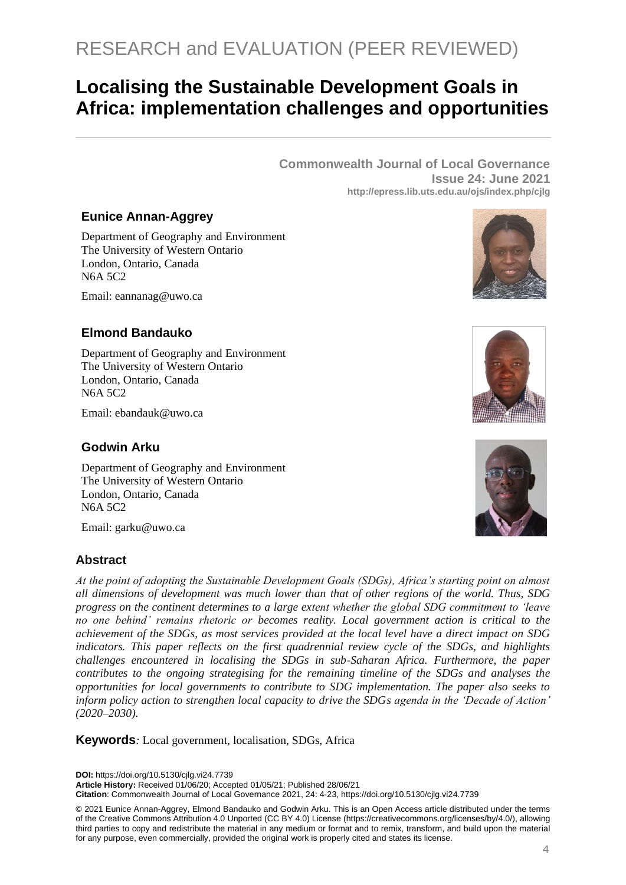# **Localising the Sustainable Development Goals in Africa: implementation challenges and opportunities**

**Commonwealth Journal of Local Governance Issue 24: June 2021 http://epress.lib.uts.edu.au/ojs/index.php/cjlg**

## **Eunice Annan-Aggrey**

Department of Geography and Environment The University of Western Ontario London, Ontario, Canada N6A 5C2

Email: eannanag@uwo.ca

## **Elmond Bandauko**

Department of Geography and Environment The University of Western Ontario London, Ontario, Canada N6A 5C2

Email: ebandauk@uwo.ca

## **Godwin Arku**

Department of Geography and Environment The University of Western Ontario London, Ontario, Canada N6A 5C2

Email: garku@uwo.ca

## **Abstract**

*At the point of adopting the Sustainable Development Goals (SDGs), Africa's starting point on almost all dimensions of development was much lower than that of other regions of the world. Thus, SDG progress on the continent determines to a large extent whether the global SDG commitment to 'leave no one behind' remains rhetoric or becomes reality. Local government action is critical to the achievement of the SDGs, as most services provided at the local level have a direct impact on SDG indicators. This paper reflects on the first quadrennial review cycle of the SDGs, and highlights challenges encountered in localising the SDGs in sub-Saharan Africa. Furthermore, the paper contributes to the ongoing strategising for the remaining timeline of the SDGs and analyses the opportunities for local governments to contribute to SDG implementation. The paper also seeks to inform policy action to strengthen local capacity to drive the SDGs agenda in the 'Decade of Action' (2020–2030).* 

**Keywords***:* Local government, localisation, SDGs, Africa

**DOI:** https://doi.org/10.5130/cjlg.vi24.7739

**Article History:** Received 01/06/20; Accepted 01/05/21; Published 28/06/21

**Citation**: Commonwealth Journal of Local Governance 2021, 24: 4-23, https://doi.org/10.5130/cjlg.vi24.7739

© 2021 Eunice Annan-Aggrey, Elmond Bandauko and Godwin Arku. This is an Open Access article distributed under the terms of the Creative Commons Attribution 4.0 Unported (CC BY 4.0) License [\(https://creativecommons.org/licenses/by/4.0/\),](https://creativecommons.org/licenses/by/4.0/) allowing third parties to copy and redistribute the material in any medium or format and to remix, transform, and build upon the material for any purpose, even commercially, provided the original work is properly cited and states its license.





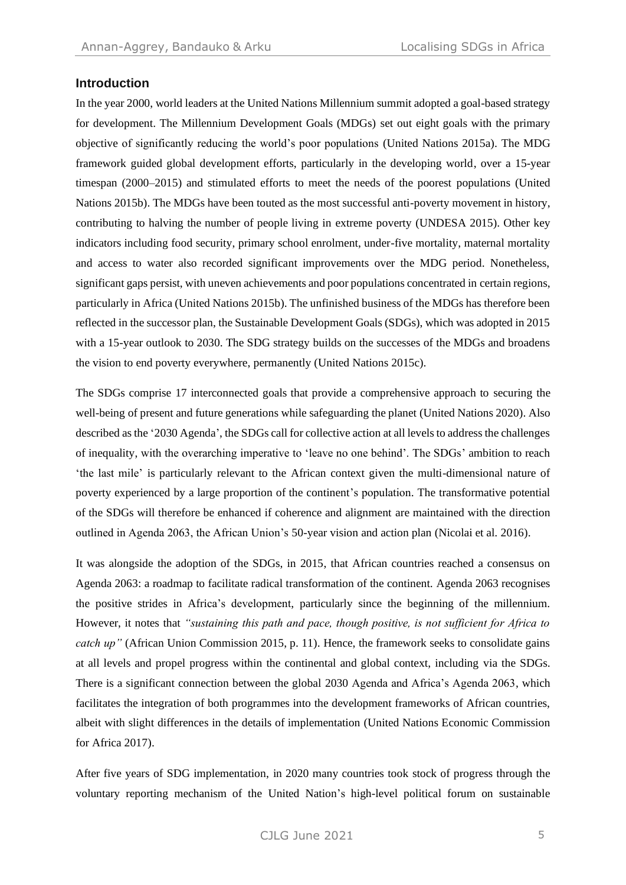## **Introduction**

In the year 2000, world leaders at the United Nations Millennium summit adopted a goal-based strategy for development. The Millennium Development Goals (MDGs) set out eight goals with the primary objective of significantly reducing the world's poor populations (United Nations 2015a). The MDG framework guided global development efforts, particularly in the developing world, over a 15-year timespan (2000–2015) and stimulated efforts to meet the needs of the poorest populations (United Nations 2015b). The MDGs have been touted as the most successful anti-poverty movement in history, contributing to halving the number of people living in extreme poverty (UNDESA 2015). Other key indicators including food security, primary school enrolment, under-five mortality, maternal mortality and access to water also recorded significant improvements over the MDG period. Nonetheless, significant gaps persist, with uneven achievements and poor populations concentrated in certain regions, particularly in Africa (United Nations 2015b). The unfinished business of the MDGs has therefore been reflected in the successor plan, the Sustainable Development Goals (SDGs), which was adopted in 2015 with a 15-year outlook to 2030. The SDG strategy builds on the successes of the MDGs and broadens the vision to end poverty everywhere, permanently (United Nations 2015c).

The SDGs comprise 17 interconnected goals that provide a comprehensive approach to securing the well-being of present and future generations while safeguarding the planet (United Nations 2020). Also described as the '2030 Agenda', the SDGs call for collective action at all levels to address the challenges of inequality, with the overarching imperative to 'leave no one behind'. The SDGs' ambition to reach 'the last mile' is particularly relevant to the African context given the multi-dimensional nature of poverty experienced by a large proportion of the continent's population. The transformative potential of the SDGs will therefore be enhanced if coherence and alignment are maintained with the direction outlined in Agenda 2063, the African Union's 50-year vision and action plan (Nicolai et al. 2016).

It was alongside the adoption of the SDGs, in 2015, that African countries reached a consensus on Agenda 2063: a roadmap to facilitate radical transformation of the continent. Agenda 2063 recognises the positive strides in Africa's development, particularly since the beginning of the millennium. However, it notes that *"sustaining this path and pace, though positive, is not sufficient for Africa to catch up*" (African Union Commission 2015, p. 11). Hence, the framework seeks to consolidate gains at all levels and propel progress within the continental and global context, including via the SDGs. There is a significant connection between the global 2030 Agenda and Africa's Agenda 2063, which facilitates the integration of both programmes into the development frameworks of African countries, albeit with slight differences in the details of implementation (United Nations Economic Commission for Africa 2017).

After five years of SDG implementation, in 2020 many countries took stock of progress through the voluntary reporting mechanism of the United Nation's high-level political forum on sustainable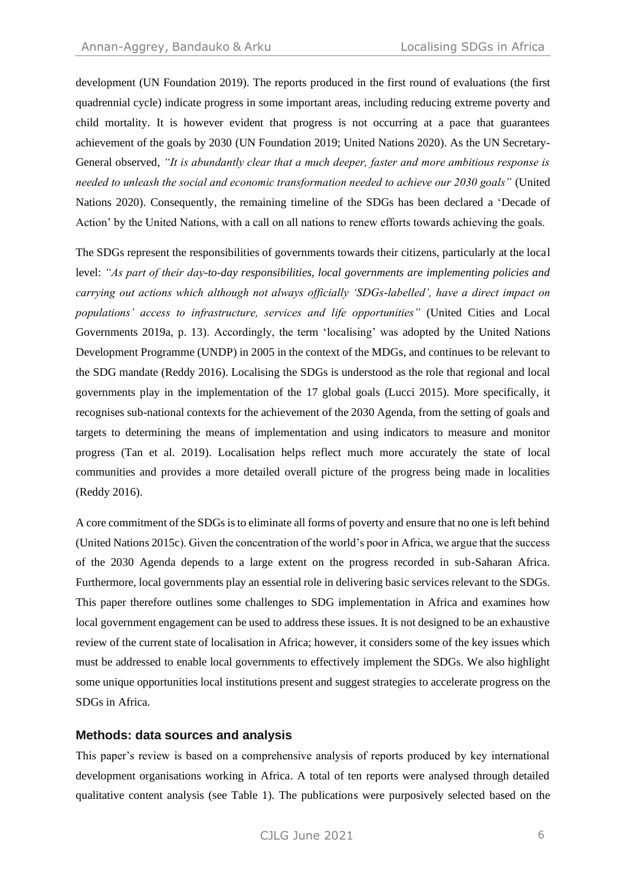development (UN Foundation 2019). The reports produced in the first round of evaluations (the first quadrennial cycle) indicate progress in some important areas, including reducing extreme poverty and child mortality. It is however evident that progress is not occurring at a pace that guarantees achievement of the goals by 2030 (UN Foundation 2019; United Nations 2020). As the UN Secretary-General observed, *"It is abundantly clear that a much deeper, faster and more ambitious response is needed to unleash the social and economic transformation needed to achieve our 2030 goals"* (United Nations 2020). Consequently, the remaining timeline of the SDGs has been declared a 'Decade of Action' by the United Nations, with a call on all nations to renew efforts towards achieving the goals.

The SDGs represent the responsibilities of governments towards their citizens, particularly at the local level: *"As part of their day-to-day responsibilities, local governments are implementing policies and carrying out actions which although not always officially 'SDGs-labelled', have a direct impact on populations' access to infrastructure, services and life opportunities"* (United Cities and Local Governments 2019a, p. 13). Accordingly, the term 'localising' was adopted by the United Nations Development Programme (UNDP) in 2005 in the context of the MDGs, and continues to be relevant to the SDG mandate (Reddy 2016). Localising the SDGs is understood as the role that regional and local governments play in the implementation of the 17 global goals (Lucci 2015). More specifically, it recognises sub-national contexts for the achievement of the 2030 Agenda, from the setting of goals and targets to determining the means of implementation and using indicators to measure and monitor progress (Tan et al. 2019). Localisation helps reflect much more accurately the state of local communities and provides a more detailed overall picture of the progress being made in localities (Reddy 2016).

A core commitment of the SDGs is to eliminate all forms of poverty and ensure that no one is left behind (United Nations 2015c). Given the concentration of the world's poor in Africa, we argue that the success of the 2030 Agenda depends to a large extent on the progress recorded in sub-Saharan Africa. Furthermore, local governments play an essential role in delivering basic services relevant to the SDGs. This paper therefore outlines some challenges to SDG implementation in Africa and examines how local government engagement can be used to address these issues. It is not designed to be an exhaustive review of the current state of localisation in Africa; however, it considers some of the key issues which must be addressed to enable local governments to effectively implement the SDGs. We also highlight some unique opportunities local institutions present and suggest strategies to accelerate progress on the SDGs in Africa.

## **Methods: data sources and analysis**

This paper's review is based on a comprehensive analysis of reports produced by key international development organisations working in Africa. A total of ten reports were analysed through detailed qualitative content analysis (see Table 1). The publications were purposively selected based on the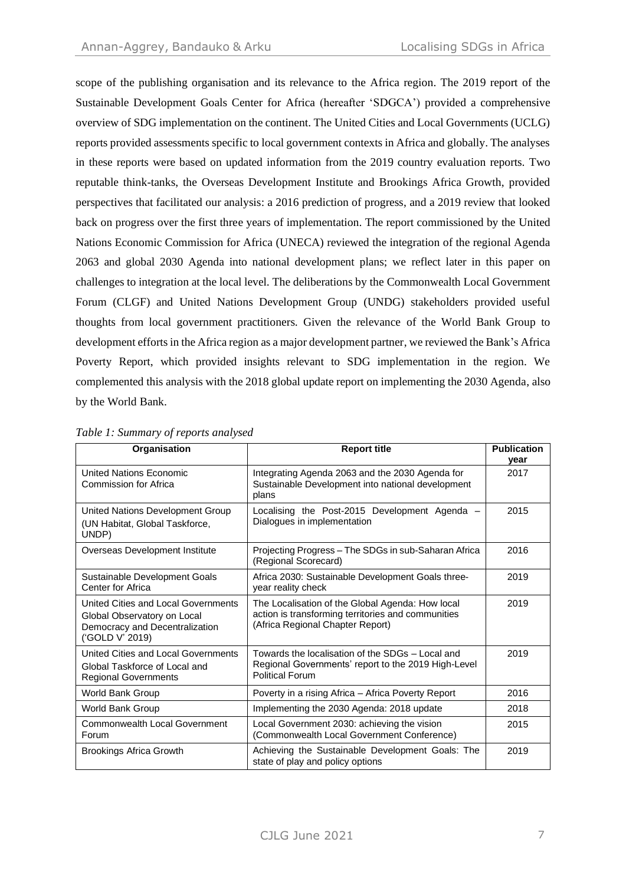scope of the publishing organisation and its relevance to the Africa region. The 2019 report of the Sustainable Development Goals Center for Africa (hereafter 'SDGCA') provided a comprehensive overview of SDG implementation on the continent. The United Cities and Local Governments (UCLG) reports provided assessments specific to local government contexts in Africa and globally. The analyses in these reports were based on updated information from the 2019 country evaluation reports. Two reputable think-tanks, the Overseas Development Institute and Brookings Africa Growth, provided perspectives that facilitated our analysis: a 2016 prediction of progress, and a 2019 review that looked back on progress over the first three years of implementation. The report commissioned by the United Nations Economic Commission for Africa (UNECA) reviewed the integration of the regional Agenda 2063 and global 2030 Agenda into national development plans; we reflect later in this paper on challenges to integration at the local level. The deliberations by the Commonwealth Local Government Forum (CLGF) and United Nations Development Group (UNDG) stakeholders provided useful thoughts from local government practitioners. Given the relevance of the World Bank Group to development efforts in the Africa region as a major development partner, we reviewed the Bank's Africa Poverty Report, which provided insights relevant to SDG implementation in the region. We complemented this analysis with the 2018 global update report on implementing the 2030 Agenda, also by the World Bank.

| Organisation                                                                                                            | <b>Report title</b>                                                                                                                        | <b>Publication</b><br>year |
|-------------------------------------------------------------------------------------------------------------------------|--------------------------------------------------------------------------------------------------------------------------------------------|----------------------------|
| <b>United Nations Economic</b><br>Commission for Africa                                                                 | Integrating Agenda 2063 and the 2030 Agenda for<br>Sustainable Development into national development<br>plans                              | 2017                       |
| United Nations Development Group<br>(UN Habitat, Global Taskforce,<br>UNDP)                                             | Localising the Post-2015 Development Agenda -<br>Dialogues in implementation                                                               | 2015                       |
| Overseas Development Institute                                                                                          | Projecting Progress - The SDGs in sub-Saharan Africa<br>(Regional Scorecard)                                                               | 2016                       |
| Sustainable Development Goals<br>Center for Africa                                                                      | Africa 2030: Sustainable Development Goals three-<br>year reality check                                                                    | 2019                       |
| United Cities and Local Governments<br>Global Observatory on Local<br>Democracy and Decentralization<br>('GOLD V' 2019) | The Localisation of the Global Agenda: How local<br>action is transforming territories and communities<br>(Africa Regional Chapter Report) | 2019                       |
| United Cities and Local Governments<br>Global Taskforce of Local and<br><b>Regional Governments</b>                     | Towards the localisation of the SDGs - Local and<br>Regional Governments' report to the 2019 High-Level<br><b>Political Forum</b>          | 2019                       |
| <b>World Bank Group</b>                                                                                                 | Poverty in a rising Africa – Africa Poverty Report                                                                                         | 2016                       |
| World Bank Group                                                                                                        | Implementing the 2030 Agenda: 2018 update                                                                                                  | 2018                       |
| <b>Commonwealth Local Government</b><br>Forum                                                                           | Local Government 2030: achieving the vision<br>(Commonwealth Local Government Conference)                                                  | 2015                       |
| <b>Brookings Africa Growth</b>                                                                                          | Achieving the Sustainable Development Goals: The<br>state of play and policy options                                                       | 2019                       |

#### *Table 1: Summary of reports analysed*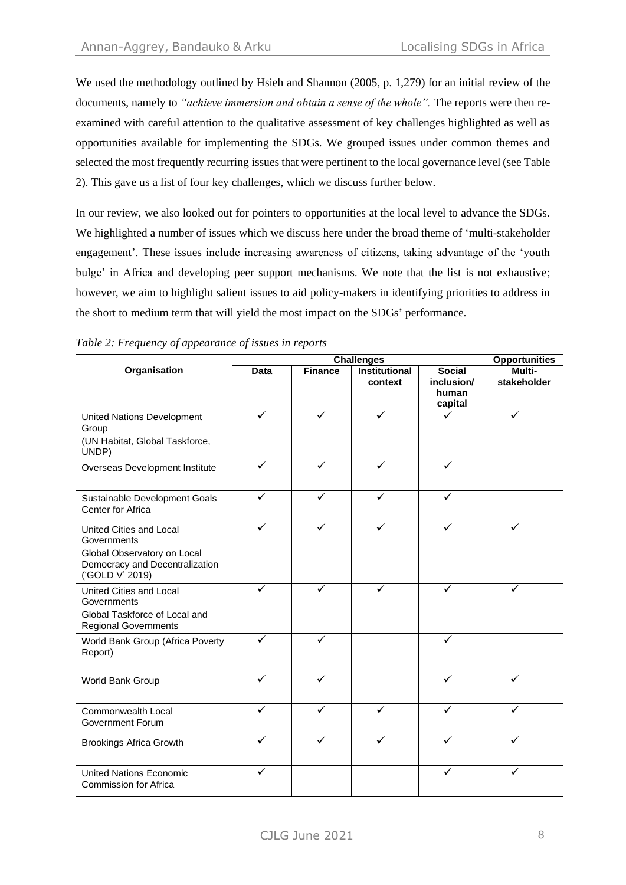We used the methodology outlined by Hsieh and Shannon (2005, p. 1,279) for an initial review of the documents, namely to *"achieve immersion and obtain a sense of the whole".* The reports were then reexamined with careful attention to the qualitative assessment of key challenges highlighted as well as opportunities available for implementing the SDGs. We grouped issues under common themes and selected the most frequently recurring issues that were pertinent to the local governance level (see Table 2). This gave us a list of four key challenges, which we discuss further below.

In our review, we also looked out for pointers to opportunities at the local level to advance the SDGs. We highlighted a number of issues which we discuss here under the broad theme of 'multi-stakeholder engagement'. These issues include increasing awareness of citizens, taking advantage of the 'youth bulge' in Africa and developing peer support mechanisms. We note that the list is not exhaustive; however, we aim to highlight salient issues to aid policy-makers in identifying priorities to address in the short to medium term that will yield the most impact on the SDGs' performance.

|                                                                                                                            | <b>Challenges</b> |                |                                 | <b>Opportunities</b>                            |                       |
|----------------------------------------------------------------------------------------------------------------------------|-------------------|----------------|---------------------------------|-------------------------------------------------|-----------------------|
| Organisation                                                                                                               | Data              | <b>Finance</b> | <b>Institutional</b><br>context | <b>Social</b><br>inclusion/<br>human<br>capital | Multi-<br>stakeholder |
| <b>United Nations Development</b><br>Group<br>(UN Habitat, Global Taskforce,<br>UNDP)                                      | ✓                 | ✓              |                                 |                                                 | ✓                     |
| Overseas Development Institute                                                                                             | ✓                 | $\checkmark$   | ✓                               | ✓                                               |                       |
| Sustainable Development Goals<br>Center for Africa                                                                         | ✓                 |                |                                 |                                                 |                       |
| United Cities and Local<br>Governments<br>Global Observatory on Local<br>Democracy and Decentralization<br>('GOLD V' 2019) | ✓                 |                |                                 |                                                 |                       |
| United Cities and Local<br>Governments<br>Global Taskforce of Local and<br><b>Regional Governments</b>                     | ✓                 | ✓              |                                 | ✓                                               |                       |
| World Bank Group (Africa Poverty<br>Report)                                                                                | ✓                 | ✓              |                                 | $\checkmark$                                    |                       |
| World Bank Group                                                                                                           | $\checkmark$      | ✓              |                                 | ✓                                               | ✓                     |
| Commonwealth Local<br><b>Government Forum</b>                                                                              | ✓                 | ✓              |                                 |                                                 |                       |
| <b>Brookings Africa Growth</b>                                                                                             | $\checkmark$      | ✓              | ✓                               |                                                 |                       |
| <b>United Nations Economic</b><br><b>Commission for Africa</b>                                                             | ✓                 |                |                                 | ✓                                               | ✓                     |

*Table 2: Frequency of appearance of issues in reports*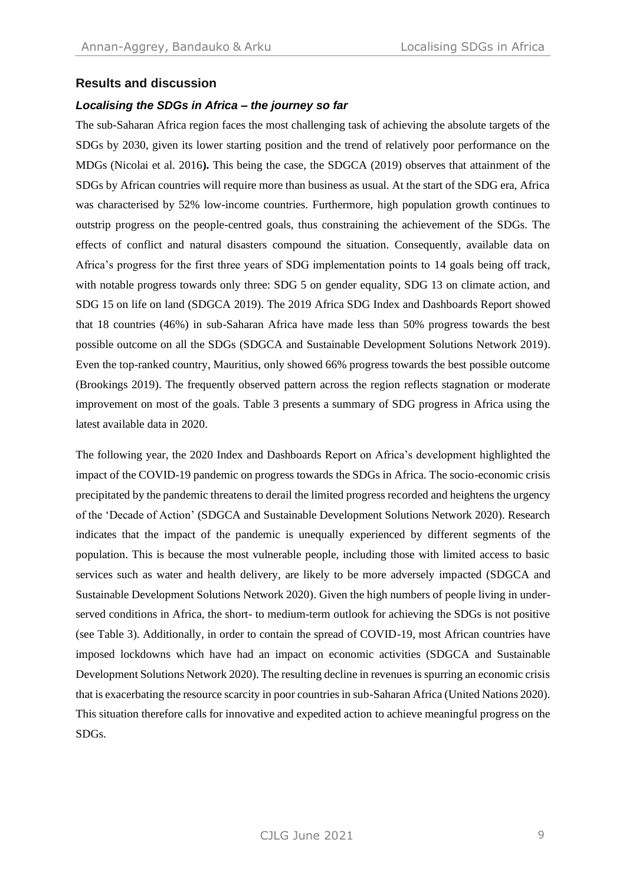## **Results and discussion**

## *Localising the SDGs in Africa – the journey so far*

The sub-Saharan Africa region faces the most challenging task of achieving the absolute targets of the SDGs by 2030, given its lower starting position and the trend of relatively poor performance on the MDGs (Nicolai et al. 2016**).** This being the case, the SDGCA (2019) observes that attainment of the SDGs by African countries will require more than business as usual. At the start of the SDG era, Africa was characterised by 52% low-income countries. Furthermore, high population growth continues to outstrip progress on the people-centred goals, thus constraining the achievement of the SDGs. The effects of conflict and natural disasters compound the situation. Consequently, available data on Africa's progress for the first three years of SDG implementation points to 14 goals being off track, with notable progress towards only three: SDG 5 on gender equality, SDG 13 on climate action, and SDG 15 on life on land (SDGCA 2019). The 2019 Africa SDG Index and Dashboards Report showed that 18 countries (46%) in sub-Saharan Africa have made less than 50% progress towards the best possible outcome on all the SDGs (SDGCA and Sustainable Development Solutions Network 2019). Even the top-ranked country, Mauritius, only showed 66% progress towards the best possible outcome (Brookings 2019). The frequently observed pattern across the region reflects stagnation or moderate improvement on most of the goals. Table 3 presents a summary of SDG progress in Africa using the latest available data in 2020.

The following year, the 2020 Index and Dashboards Report on Africa's development highlighted the impact of the COVID-19 pandemic on progress towards the SDGs in Africa. The socio-economic crisis precipitated by the pandemic threatens to derail the limited progress recorded and heightens the urgency of the 'Decade of Action' (SDGCA and Sustainable Development Solutions Network 2020). Research indicates that the impact of the pandemic is unequally experienced by different segments of the population. This is because the most vulnerable people, including those with limited access to basic services such as water and health delivery, are likely to be more adversely impacted (SDGCA and Sustainable Development Solutions Network 2020). Given the high numbers of people living in underserved conditions in Africa, the short- to medium-term outlook for achieving the SDGs is not positive (see Table 3). Additionally, in order to contain the spread of COVID-19, most African countries have imposed lockdowns which have had an impact on economic activities (SDGCA and Sustainable Development Solutions Network 2020). The resulting decline in revenues is spurring an economic crisis that is exacerbating the resource scarcity in poor countries in sub-Saharan Africa (United Nations 2020). This situation therefore calls for innovative and expedited action to achieve meaningful progress on the SDGs.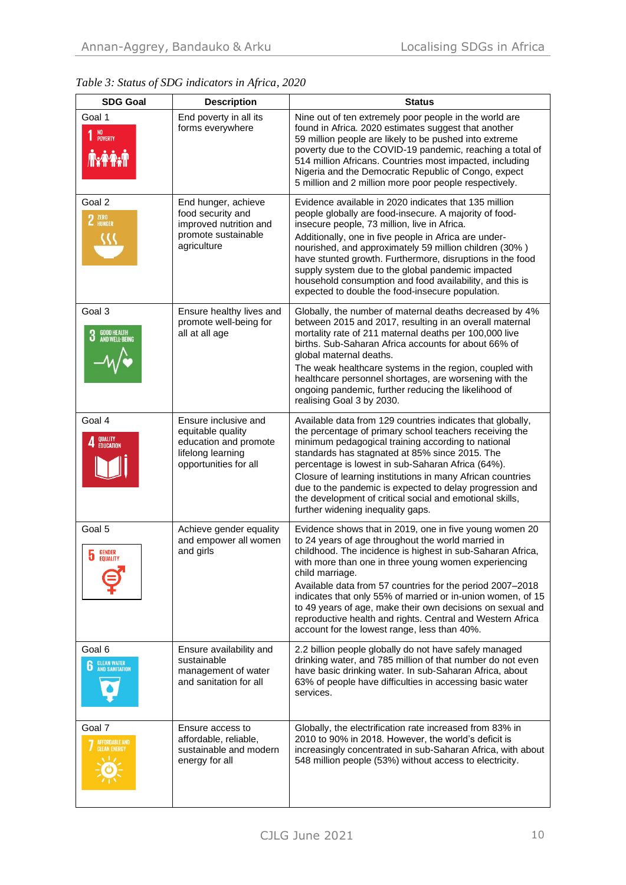|  |  |  | Table 3: Status of SDG indicators in Africa, 2020 |  |  |
|--|--|--|---------------------------------------------------|--|--|
|--|--|--|---------------------------------------------------|--|--|

| <b>SDG Goal</b>                                        | <b>Description</b>                                                                                               | <b>Status</b>                                                                                                                                                                                                                                                                                                                                                                                                                                                                                                                                                  |
|--------------------------------------------------------|------------------------------------------------------------------------------------------------------------------|----------------------------------------------------------------------------------------------------------------------------------------------------------------------------------------------------------------------------------------------------------------------------------------------------------------------------------------------------------------------------------------------------------------------------------------------------------------------------------------------------------------------------------------------------------------|
| Goal 1<br>NO<br>Poverty<br><b>TxPAM</b>                | End poverty in all its<br>forms everywhere                                                                       | Nine out of ten extremely poor people in the world are<br>found in Africa. 2020 estimates suggest that another<br>59 million people are likely to be pushed into extreme<br>poverty due to the COVID-19 pandemic, reaching a total of<br>514 million Africans. Countries most impacted, including<br>Nigeria and the Democratic Republic of Congo, expect<br>5 million and 2 million more poor people respectively.                                                                                                                                            |
| Goal 2<br>2 ZERO                                       | End hunger, achieve<br>food security and<br>improved nutrition and<br>promote sustainable<br>agriculture         | Evidence available in 2020 indicates that 135 million<br>people globally are food-insecure. A majority of food-<br>insecure people, 73 million, live in Africa.<br>Additionally, one in five people in Africa are under-<br>nourished, and approximately 59 million children (30%)<br>have stunted growth. Furthermore, disruptions in the food<br>supply system due to the global pandemic impacted<br>household consumption and food availability, and this is<br>expected to double the food-insecure population.                                           |
| Goal 3<br><b>3</b> GOOD HEALTH<br>AND WELL-BEING       | Ensure healthy lives and<br>promote well-being for<br>all at all age                                             | Globally, the number of maternal deaths decreased by 4%<br>between 2015 and 2017, resulting in an overall maternal<br>mortality rate of 211 maternal deaths per 100,000 live<br>births. Sub-Saharan Africa accounts for about 66% of<br>global maternal deaths.<br>The weak healthcare systems in the region, coupled with<br>healthcare personnel shortages, are worsening with the<br>ongoing pandemic, further reducing the likelihood of<br>realising Goal 3 by 2030.                                                                                      |
| Goal 4<br>QUALITY<br>Education                         | Ensure inclusive and<br>equitable quality<br>education and promote<br>lifelong learning<br>opportunities for all | Available data from 129 countries indicates that globally,<br>the percentage of primary school teachers receiving the<br>minimum pedagogical training according to national<br>standards has stagnated at 85% since 2015. The<br>percentage is lowest in sub-Saharan Africa (64%).<br>Closure of learning institutions in many African countries<br>due to the pandemic is expected to delay progression and<br>the development of critical social and emotional skills,<br>further widening inequality gaps.                                                  |
| Goal 5<br><b>GENDER</b><br>b<br><b>EQUALITY</b>        | Achieve gender equality<br>and empower all women<br>and girls                                                    | Evidence shows that in 2019, one in five young women 20<br>to 24 years of age throughout the world married in<br>childhood. The incidence is highest in sub-Saharan Africa,<br>with more than one in three young women experiencing<br>child marriage.<br>Available data from 57 countries for the period 2007–2018<br>indicates that only 55% of married or in-union women, of 15<br>to 49 years of age, make their own decisions on sexual and<br>reproductive health and rights. Central and Western Africa<br>account for the lowest range, less than 40%. |
| Goal 6<br><b>CLEAN WATER</b><br>AND SANITATION<br>6    | Ensure availability and<br>sustainable<br>management of water<br>and sanitation for all                          | 2.2 billion people globally do not have safely managed<br>drinking water, and 785 million of that number do not even<br>have basic drinking water. In sub-Saharan Africa, about<br>63% of people have difficulties in accessing basic water<br>services.                                                                                                                                                                                                                                                                                                       |
| Goal 7<br><b>AFFORDABLE AND</b><br><b>CLEAN ENERGY</b> | Ensure access to<br>affordable, reliable,<br>sustainable and modern<br>energy for all                            | Globally, the electrification rate increased from 83% in<br>2010 to 90% in 2018. However, the world's deficit is<br>increasingly concentrated in sub-Saharan Africa, with about<br>548 million people (53%) without access to electricity.                                                                                                                                                                                                                                                                                                                     |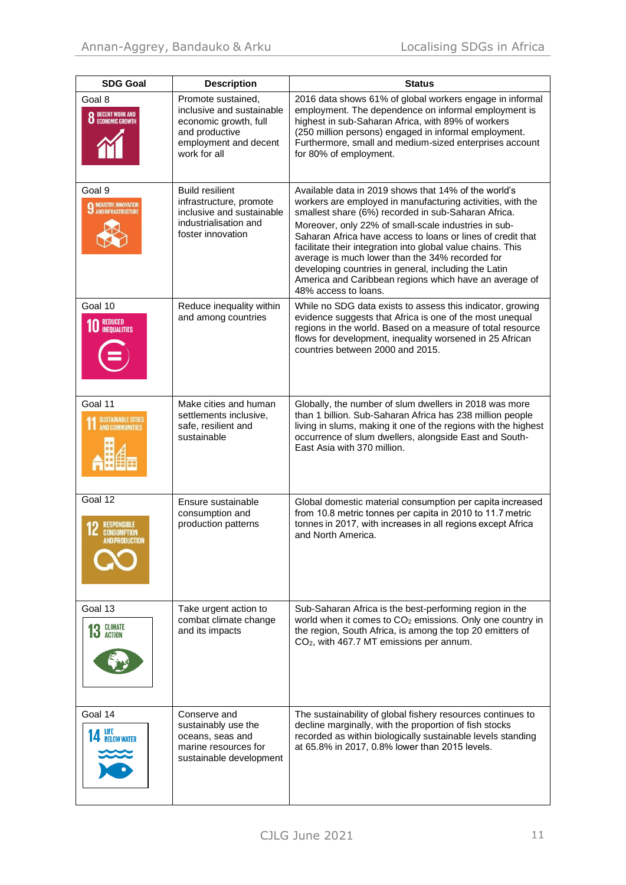| <b>SDG Goal</b>                                                | <b>Description</b>                                                                                                                  | <b>Status</b>                                                                                                                                                                                                                                                                                                                                                                                                                                                                                                                                                |
|----------------------------------------------------------------|-------------------------------------------------------------------------------------------------------------------------------------|--------------------------------------------------------------------------------------------------------------------------------------------------------------------------------------------------------------------------------------------------------------------------------------------------------------------------------------------------------------------------------------------------------------------------------------------------------------------------------------------------------------------------------------------------------------|
| Goal 8<br><b>8</b> DECENT WORK AND                             | Promote sustained,<br>inclusive and sustainable<br>economic growth, full<br>and productive<br>employment and decent<br>work for all | 2016 data shows 61% of global workers engage in informal<br>employment. The dependence on informal employment is<br>highest in sub-Saharan Africa, with 89% of workers<br>(250 million persons) engaged in informal employment.<br>Furthermore, small and medium-sized enterprises account<br>for 80% of employment.                                                                                                                                                                                                                                         |
| Goal 9<br><b>9 INDUSTRY, INNOVATION</b><br>AND INFRASTRUCTURE  | <b>Build resilient</b><br>infrastructure, promote<br>inclusive and sustainable<br>industrialisation and<br>foster innovation        | Available data in 2019 shows that 14% of the world's<br>workers are employed in manufacturing activities, with the<br>smallest share (6%) recorded in sub-Saharan Africa.<br>Moreover, only 22% of small-scale industries in sub-<br>Saharan Africa have access to loans or lines of credit that<br>facilitate their integration into global value chains. This<br>average is much lower than the 34% recorded for<br>developing countries in general, including the Latin<br>America and Caribbean regions which have an average of<br>48% access to loans. |
| Goal 10<br><b>10 REDUCED</b><br><b>INEQUALITIES</b>            | Reduce inequality within<br>and among countries                                                                                     | While no SDG data exists to assess this indicator, growing<br>evidence suggests that Africa is one of the most unequal<br>regions in the world. Based on a measure of total resource<br>flows for development, inequality worsened in 25 African<br>countries between 2000 and 2015.                                                                                                                                                                                                                                                                         |
| Goal 11<br><b>SUSTAINABLE CITIES</b><br><b>AND COMMUNITIES</b> | Make cities and human<br>settlements inclusive,<br>safe, resilient and<br>sustainable                                               | Globally, the number of slum dwellers in 2018 was more<br>than 1 billion. Sub-Saharan Africa has 238 million people<br>living in slums, making it one of the regions with the highest<br>occurrence of slum dwellers, alongside East and South-<br>East Asia with 370 million.                                                                                                                                                                                                                                                                               |
| Goal $12$<br><b>CONSUMPTION</b><br>AND PRODUCTION              | Ensure sustainable<br>consumption and<br>production patterns                                                                        | Global domestic material consumption per capita increased<br>from 10.8 metric tonnes per capita in 2010 to 11.7 metric<br>tonnes in 2017, with increases in all regions except Africa<br>and North America.                                                                                                                                                                                                                                                                                                                                                  |
| Goal 13<br><b>13 GLIMATE</b>                                   | Take urgent action to<br>combat climate change<br>and its impacts                                                                   | Sub-Saharan Africa is the best-performing region in the<br>world when it comes to CO <sub>2</sub> emissions. Only one country in<br>the region, South Africa, is among the top 20 emitters of<br>CO <sub>2</sub> , with 467.7 MT emissions per annum.                                                                                                                                                                                                                                                                                                        |
| Goal 14<br><b>14 LIFE</b><br><b>14 BELOW WATER</b>             | Conserve and<br>sustainably use the<br>oceans, seas and<br>marine resources for<br>sustainable development                          | The sustainability of global fishery resources continues to<br>decline marginally, with the proportion of fish stocks<br>recorded as within biologically sustainable levels standing<br>at 65.8% in 2017, 0.8% lower than 2015 levels.                                                                                                                                                                                                                                                                                                                       |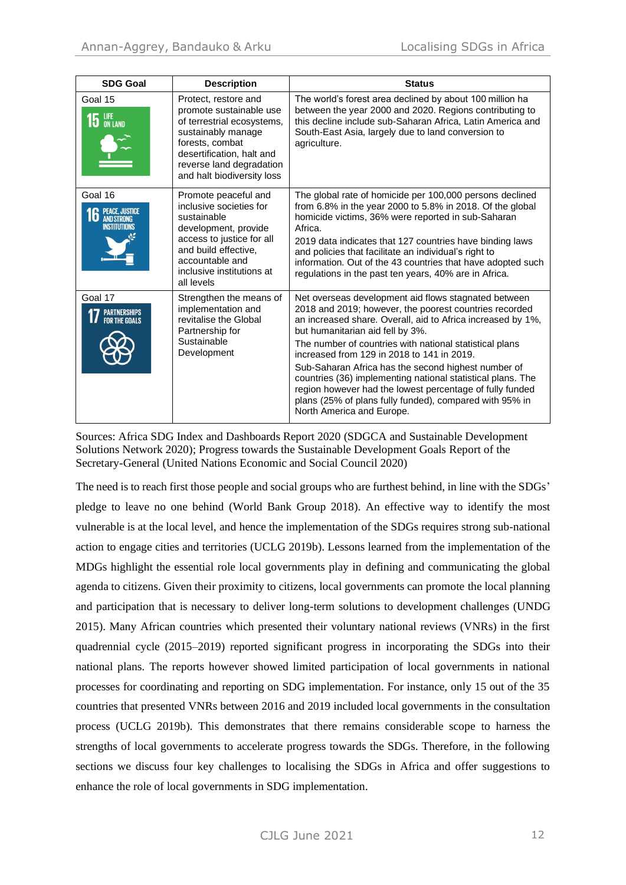| <b>SDG Goal</b>                                                           | <b>Description</b>                                                                                                                                                                                            | <b>Status</b>                                                                                                                                                                                                                                                                                                                                                                                                                                                                                                                                                                                        |
|---------------------------------------------------------------------------|---------------------------------------------------------------------------------------------------------------------------------------------------------------------------------------------------------------|------------------------------------------------------------------------------------------------------------------------------------------------------------------------------------------------------------------------------------------------------------------------------------------------------------------------------------------------------------------------------------------------------------------------------------------------------------------------------------------------------------------------------------------------------------------------------------------------------|
| Goal 15<br>$15$ ON LAND                                                   | Protect, restore and<br>promote sustainable use<br>of terrestrial ecosystems,<br>sustainably manage<br>forests, combat<br>desertification, halt and<br>reverse land degradation<br>and halt biodiversity loss | The world's forest area declined by about 100 million ha<br>between the year 2000 and 2020. Regions contributing to<br>this decline include sub-Saharan Africa, Latin America and<br>South-East Asia, largely due to land conversion to<br>agriculture.                                                                                                                                                                                                                                                                                                                                              |
| Goal 16<br><b>PEACE, JUSTICE</b><br>6<br><b>AND STRONG</b><br>NSTITUTIONS | Promote peaceful and<br>inclusive societies for<br>sustainable<br>development, provide<br>access to justice for all<br>and build effective,<br>accountable and<br>inclusive institutions at<br>all levels     | The global rate of homicide per 100,000 persons declined<br>from 6.8% in the year 2000 to 5.8% in 2018. Of the global<br>homicide victims, 36% were reported in sub-Saharan<br>Africa.<br>2019 data indicates that 127 countries have binding laws<br>and policies that facilitate an individual's right to<br>information. Out of the 43 countries that have adopted such<br>regulations in the past ten years, 40% are in Africa.                                                                                                                                                                  |
| Goal 17                                                                   | Strengthen the means of<br>implementation and<br>revitalise the Global<br>Partnership for<br>Sustainable<br>Development                                                                                       | Net overseas development aid flows stagnated between<br>2018 and 2019; however, the poorest countries recorded<br>an increased share. Overall, aid to Africa increased by 1%,<br>but humanitarian aid fell by 3%.<br>The number of countries with national statistical plans<br>increased from 129 in 2018 to 141 in 2019.<br>Sub-Saharan Africa has the second highest number of<br>countries (36) implementing national statistical plans. The<br>region however had the lowest percentage of fully funded<br>plans (25% of plans fully funded), compared with 95% in<br>North America and Europe. |

Sources: Africa SDG Index and Dashboards Report 2020 (SDGCA and Sustainable Development Solutions Network 2020); Progress towards the Sustainable Development Goals Report of the Secretary-General (United Nations Economic and Social Council 2020)

The need is to reach first those people and social groups who are furthest behind, in line with the SDGs' pledge to leave no one behind (World Bank Group 2018). An effective way to identify the most vulnerable is at the local level, and hence the implementation of the SDGs requires strong sub-national action to engage cities and territories (UCLG 2019b). Lessons learned from the implementation of the MDGs highlight the essential role local governments play in defining and communicating the global agenda to citizens. Given their proximity to citizens, local governments can promote the local planning and participation that is necessary to deliver long-term solutions to development challenges (UNDG 2015). Many African countries which presented their voluntary national reviews (VNRs) in the first quadrennial cycle (2015–2019) reported significant progress in incorporating the SDGs into their national plans. The reports however showed limited participation of local governments in national processes for coordinating and reporting on SDG implementation. For instance, only 15 out of the 35 countries that presented VNRs between 2016 and 2019 included local governments in the consultation process (UCLG 2019b). This demonstrates that there remains considerable scope to harness the strengths of local governments to accelerate progress towards the SDGs. Therefore, in the following sections we discuss four key challenges to localising the SDGs in Africa and offer suggestions to enhance the role of local governments in SDG implementation.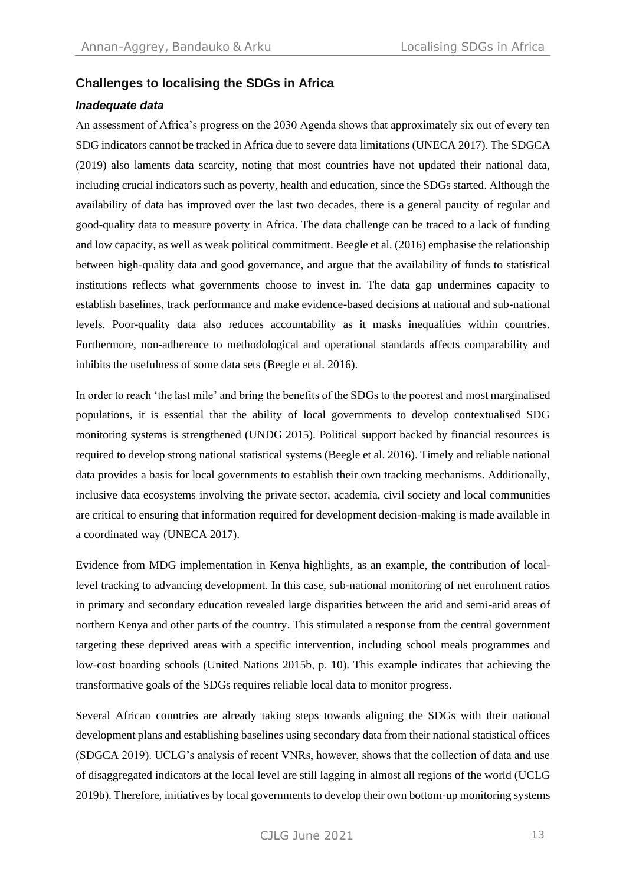## **Challenges to localising the SDGs in Africa**

#### *Inadequate data*

An assessment of Africa's progress on the 2030 Agenda shows that approximately six out of every ten SDG indicators cannot be tracked in Africa due to severe data limitations (UNECA 2017). The SDGCA (2019) also laments data scarcity, noting that most countries have not updated their national data, including crucial indicators such as poverty, health and education, since the SDGs started. Although the availability of data has improved over the last two decades, there is a general paucity of regular and good-quality data to measure poverty in Africa. The data challenge can be traced to a lack of funding and low capacity, as well as weak political commitment. Beegle et al. (2016) emphasise the relationship between high-quality data and good governance, and argue that the availability of funds to statistical institutions reflects what governments choose to invest in. The data gap undermines capacity to establish baselines, track performance and make evidence-based decisions at national and sub-national levels. Poor-quality data also reduces accountability as it masks inequalities within countries. Furthermore, non-adherence to methodological and operational standards affects comparability and inhibits the usefulness of some data sets (Beegle et al. 2016).

In order to reach 'the last mile' and bring the benefits of the SDGs to the poorest and most marginalised populations, it is essential that the ability of local governments to develop contextualised SDG monitoring systems is strengthened (UNDG 2015). Political support backed by financial resources is required to develop strong national statistical systems (Beegle et al. 2016). Timely and reliable national data provides a basis for local governments to establish their own tracking mechanisms. Additionally, inclusive data ecosystems involving the private sector, academia, civil society and local communities are critical to ensuring that information required for development decision-making is made available in a coordinated way (UNECA 2017).

Evidence from MDG implementation in Kenya highlights, as an example, the contribution of locallevel tracking to advancing development. In this case, sub-national monitoring of net enrolment ratios in primary and secondary education revealed large disparities between the arid and semi-arid areas of northern Kenya and other parts of the country. This stimulated a response from the central government targeting these deprived areas with a specific intervention, including school meals programmes and low-cost boarding schools (United Nations 2015b, p. 10). This example indicates that achieving the transformative goals of the SDGs requires reliable local data to monitor progress.

Several African countries are already taking steps towards aligning the SDGs with their national development plans and establishing baselines using secondary data from their national statistical offices (SDGCA 2019). UCLG's analysis of recent VNRs, however, shows that the collection of data and use of disaggregated indicators at the local level are still lagging in almost all regions of the world (UCLG 2019b). Therefore, initiatives by local governments to develop their own bottom-up monitoring systems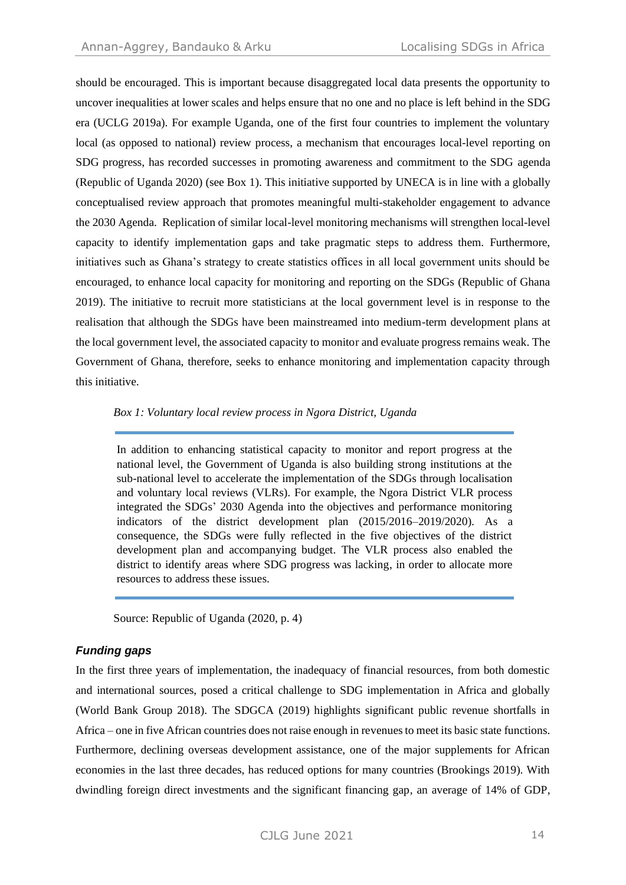should be encouraged. This is important because disaggregated local data presents the opportunity to uncover inequalities at lower scales and helps ensure that no one and no place is left behind in the SDG era (UCLG 2019a). For example Uganda, one of the first four countries to implement the voluntary local (as opposed to national) review process, a mechanism that encourages local-level reporting on SDG progress, has recorded successes in promoting awareness and commitment to the SDG agenda (Republic of Uganda 2020) (see Box 1). This initiative supported by UNECA is in line with a globally conceptualised review approach that promotes meaningful multi-stakeholder engagement to advance the 2030 Agenda. Replication of similar local-level monitoring mechanisms will strengthen local-level capacity to identify implementation gaps and take pragmatic steps to address them. Furthermore, initiatives such as Ghana's strategy to create statistics offices in all local government units should be encouraged, to enhance local capacity for monitoring and reporting on the SDGs (Republic of Ghana 2019). The initiative to recruit more statisticians at the local government level is in response to the realisation that although the SDGs have been mainstreamed into medium-term development plans at the local government level, the associated capacity to monitor and evaluate progress remains weak. The Government of Ghana, therefore, seeks to enhance monitoring and implementation capacity through this initiative.

#### *Box 1: Voluntary local review process in Ngora District, Uganda*

In addition to enhancing statistical capacity to monitor and report progress at the national level, the Government of Uganda is also building strong institutions at the sub-national level to accelerate the implementation of the SDGs through localisation and voluntary local reviews (VLRs). For example, the Ngora District VLR process integrated the SDGs' 2030 Agenda into the objectives and performance monitoring indicators of the district development plan (2015/2016–2019/2020). As a consequence, the SDGs were fully reflected in the five objectives of the district development plan and accompanying budget. The VLR process also enabled the district to identify areas where SDG progress was lacking, in order to allocate more resources to address these issues.

Source: Republic of Uganda (2020, p. 4)

## *Funding gaps*

In the first three years of implementation, the inadequacy of financial resources, from both domestic and international sources, posed a critical challenge to SDG implementation in Africa and globally (World Bank Group 2018). The SDGCA (2019) highlights significant public revenue shortfalls in Africa – one in five African countries does not raise enough in revenues to meet its basic state functions. Furthermore, declining overseas development assistance, one of the major supplements for African economies in the last three decades, has reduced options for many countries (Brookings 2019). With dwindling foreign direct investments and the significant financing gap, an average of 14% of GDP,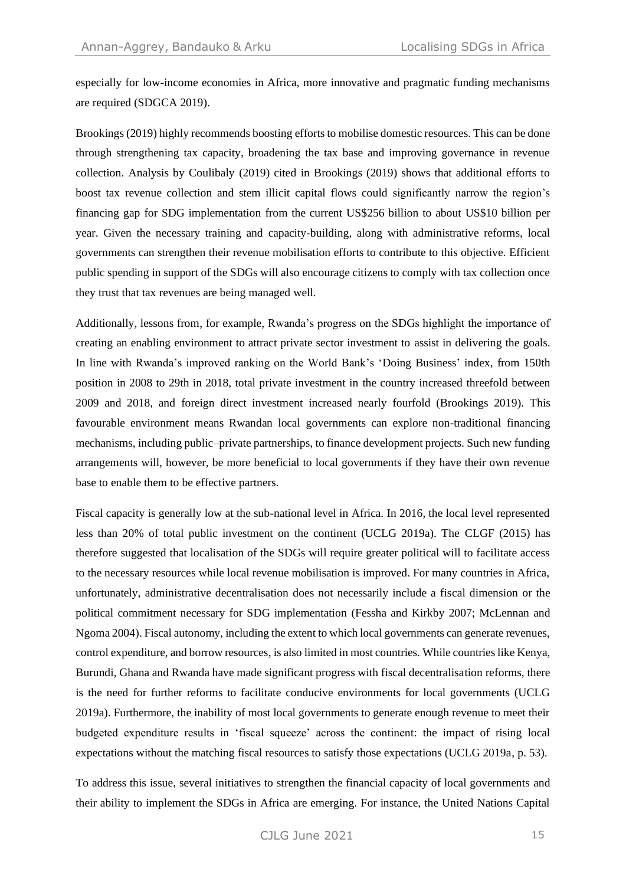especially for low-income economies in Africa, more innovative and pragmatic funding mechanisms are required (SDGCA 2019).

Brookings (2019) highly recommends boosting efforts to mobilise domestic resources. This can be done through strengthening tax capacity, broadening the tax base and improving governance in revenue collection. Analysis by Coulibaly (2019) cited in Brookings (2019) shows that additional efforts to boost tax revenue collection and stem illicit capital flows could significantly narrow the region's financing gap for SDG implementation from the current US\$256 billion to about US\$10 billion per year. Given the necessary training and capacity-building, along with administrative reforms, local governments can strengthen their revenue mobilisation efforts to contribute to this objective. Efficient public spending in support of the SDGs will also encourage citizens to comply with tax collection once they trust that tax revenues are being managed well.

Additionally, lessons from, for example, Rwanda's progress on the SDGs highlight the importance of creating an enabling environment to attract private sector investment to assist in delivering the goals. In line with Rwanda's improved ranking on the World Bank's 'Doing Business' index, from 150th position in 2008 to 29th in 2018, total private investment in the country increased threefold between 2009 and 2018, and foreign direct investment increased nearly fourfold (Brookings 2019). This favourable environment means Rwandan local governments can explore non-traditional financing mechanisms, including public–private partnerships, to finance development projects. Such new funding arrangements will, however, be more beneficial to local governments if they have their own revenue base to enable them to be effective partners.

Fiscal capacity is generally low at the sub-national level in Africa. In 2016, the local level represented less than 20% of total public investment on the continent (UCLG 2019a). The CLGF (2015) has therefore suggested that localisation of the SDGs will require greater political will to facilitate access to the necessary resources while local revenue mobilisation is improved. For many countries in Africa, unfortunately, administrative decentralisation does not necessarily include a fiscal dimension or the political commitment necessary for SDG implementation (Fessha and Kirkby 2007; McLennan and Ngoma 2004). Fiscal autonomy, including the extent to which local governments can generate revenues, control expenditure, and borrow resources, is also limited in most countries. While countries like Kenya, Burundi, Ghana and Rwanda have made significant progress with fiscal decentralisation reforms, there is the need for further reforms to facilitate conducive environments for local governments (UCLG 2019a). Furthermore, the inability of most local governments to generate enough revenue to meet their budgeted expenditure results in 'fiscal squeeze' across the continent: the impact of rising local expectations without the matching fiscal resources to satisfy those expectations (UCLG 2019a, p. 53).

To address this issue, several initiatives to strengthen the financial capacity of local governments and their ability to implement the SDGs in Africa are emerging. For instance, the United Nations Capital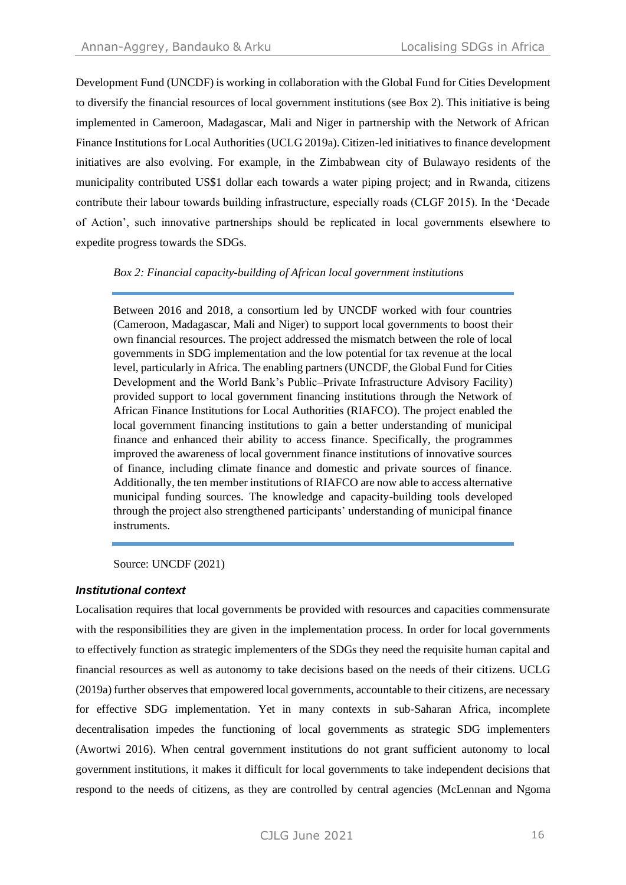Development Fund (UNCDF) is working in collaboration with the Global Fund for Cities Development to diversify the financial resources of local government institutions (see Box 2). This initiative is being implemented in Cameroon, Madagascar, Mali and Niger in partnership with the Network of African Finance Institutions for Local Authorities (UCLG 2019a). Citizen-led initiatives to finance development initiatives are also evolving. For example, in the Zimbabwean city of Bulawayo residents of the municipality contributed US\$1 dollar each towards a water piping project; and in Rwanda, citizens contribute their labour towards building infrastructure, especially roads (CLGF 2015). In the 'Decade of Action', such innovative partnerships should be replicated in local governments elsewhere to expedite progress towards the SDGs.

*Box 2: Financial capacity-building of African local government institutions* 

Between 2016 and 2018, a consortium led by UNCDF worked with four countries (Cameroon, Madagascar, Mali and Niger) to support local governments to boost their own financial resources. The project addressed the mismatch between the role of local governments in SDG implementation and the low potential for tax revenue at the local level, particularly in Africa. The enabling partners (UNCDF, the Global Fund for Cities Development and the World Bank's Public–Private Infrastructure Advisory Facility) provided support to local government financing institutions through the Network of African Finance Institutions for Local Authorities (RIAFCO). The project enabled the local government financing institutions to gain a better understanding of municipal finance and enhanced their ability to access finance. Specifically, the programmes improved the awareness of local government finance institutions of innovative sources of finance, including climate finance and domestic and private sources of finance. Additionally, the ten member institutions of RIAFCO are now able to access alternative municipal funding sources. The knowledge and capacity-building tools developed through the project also strengthened participants' understanding of municipal finance instruments.

Source: UNCDF (2021)

## *Institutional context*

Localisation requires that local governments be provided with resources and capacities commensurate with the responsibilities they are given in the implementation process. In order for local governments to effectively function as strategic implementers of the SDGs they need the requisite human capital and financial resources as well as autonomy to take decisions based on the needs of their citizens. UCLG (2019a) further observes that empowered local governments, accountable to their citizens, are necessary for effective SDG implementation. Yet in many contexts in sub-Saharan Africa, incomplete decentralisation impedes the functioning of local governments as strategic SDG implementers (Awortwi 2016). When central government institutions do not grant sufficient autonomy to local government institutions, it makes it difficult for local governments to take independent decisions that respond to the needs of citizens, as they are controlled by central agencies (McLennan and Ngoma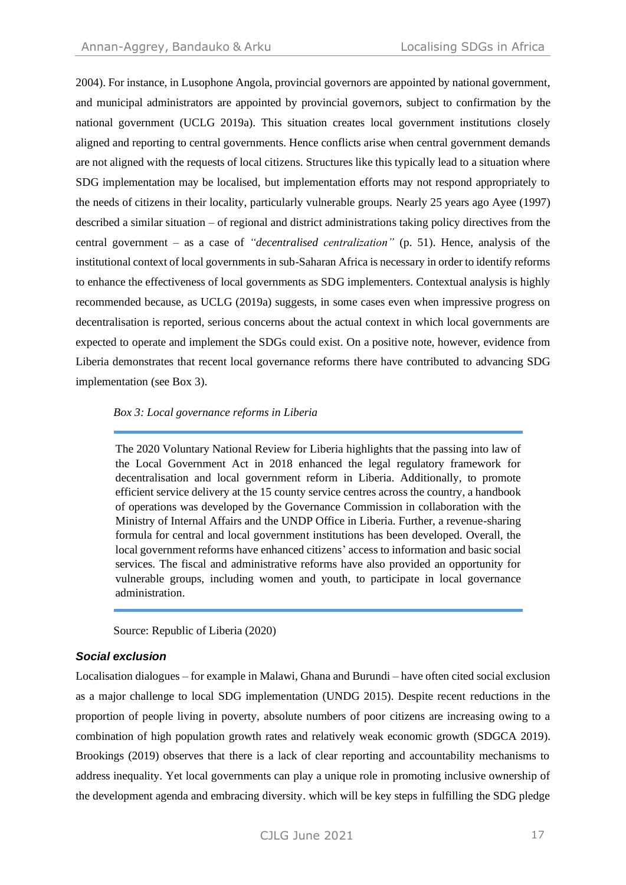2004). For instance, in Lusophone Angola, provincial governors are appointed by national government, and municipal administrators are appointed by provincial governors, subject to confirmation by the national government (UCLG 2019a). This situation creates local government institutions closely aligned and reporting to central governments. Hence conflicts arise when central government demands are not aligned with the requests of local citizens. Structures like this typically lead to a situation where SDG implementation may be localised, but implementation efforts may not respond appropriately to the needs of citizens in their locality, particularly vulnerable groups. Nearly 25 years ago Ayee (1997) described a similar situation – of regional and district administrations taking policy directives from the central government – as a case of *"decentralised centralization"* (p. 51). Hence, analysis of the institutional context of local governments in sub-Saharan Africa is necessary in order to identify reforms to enhance the effectiveness of local governments as SDG implementers. Contextual analysis is highly recommended because, as UCLG (2019a) suggests, in some cases even when impressive progress on decentralisation is reported, serious concerns about the actual context in which local governments are expected to operate and implement the SDGs could exist. On a positive note, however, evidence from Liberia demonstrates that recent local governance reforms there have contributed to advancing SDG implementation (see Box 3).

#### *Box 3: Local governance reforms in Liberia*

The 2020 Voluntary National Review for Liberia highlights that the passing into law of the Local Government Act in 2018 enhanced the legal regulatory framework for decentralisation and local government reform in Liberia. Additionally, to promote efficient service delivery at the 15 county service centres across the country, a handbook of operations was developed by the Governance Commission in collaboration with the Ministry of Internal Affairs and the UNDP Office in Liberia. Further, a revenue-sharing formula for central and local government institutions has been developed. Overall, the local government reforms have enhanced citizens' access to information and basic social services. The fiscal and administrative reforms have also provided an opportunity for vulnerable groups, including women and youth, to participate in local governance administration.

Source: Republic of Liberia (2020)

#### *Social exclusion*

Localisation dialogues – for example in Malawi, Ghana and Burundi – have often cited social exclusion as a major challenge to local SDG implementation (UNDG 2015). Despite recent reductions in the proportion of people living in poverty, absolute numbers of poor citizens are increasing owing to a combination of high population growth rates and relatively weak economic growth (SDGCA 2019). Brookings (2019) observes that there is a lack of clear reporting and accountability mechanisms to address inequality. Yet local governments can play a unique role in promoting inclusive ownership of the development agenda and embracing diversity. which will be key steps in fulfilling the SDG pledge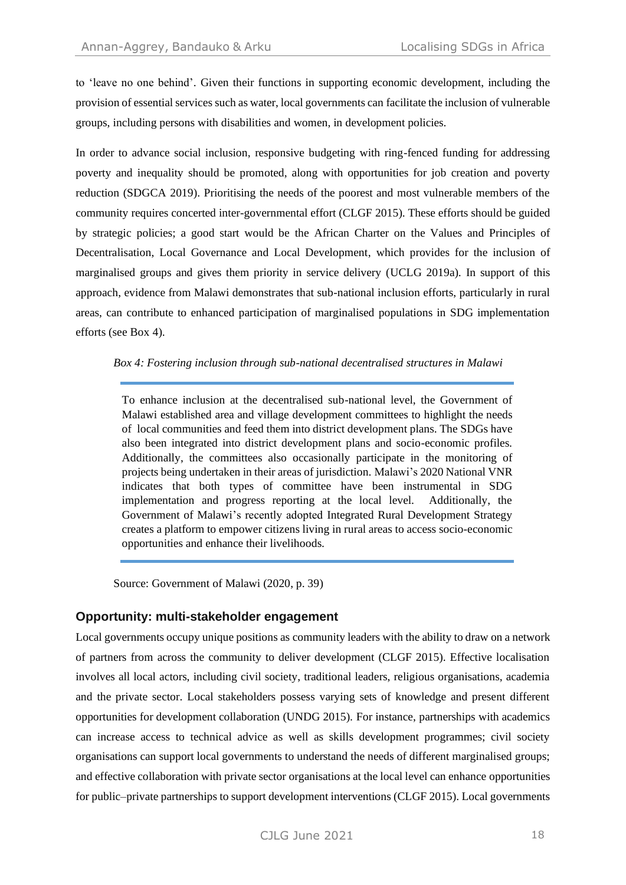to 'leave no one behind'. Given their functions in supporting economic development, including the provision of essential services such as water, local governments can facilitate the inclusion of vulnerable groups, including persons with disabilities and women, in development policies.

In order to advance social inclusion, responsive budgeting with ring-fenced funding for addressing poverty and inequality should be promoted, along with opportunities for job creation and poverty reduction (SDGCA 2019). Prioritising the needs of the poorest and most vulnerable members of the community requires concerted inter-governmental effort (CLGF 2015). These efforts should be guided by strategic policies; a good start would be the African Charter on the Values and Principles of Decentralisation, Local Governance and Local Development, which provides for the inclusion of marginalised groups and gives them priority in service delivery (UCLG 2019a). In support of this approach, evidence from Malawi demonstrates that sub-national inclusion efforts, particularly in rural areas, can contribute to enhanced participation of marginalised populations in SDG implementation efforts (see Box 4).

#### *Box 4: Fostering inclusion through sub-national decentralised structures in Malawi*

To enhance inclusion at the decentralised sub-national level, the Government of Malawi established area and village development committees to highlight the needs of local communities and feed them into district development plans. The SDGs have also been integrated into district development plans and socio-economic profiles. Additionally, the committees also occasionally participate in the monitoring of projects being undertaken in their areas of jurisdiction. Malawi's 2020 National VNR indicates that both types of committee have been instrumental in SDG implementation and progress reporting at the local level. Additionally, the Government of Malawi's recently adopted Integrated Rural Development Strategy creates a platform to empower citizens living in rural areas to access socio-economic opportunities and enhance their livelihoods.

Source: Government of Malawi (2020, p. 39)

## **Opportunity: multi-stakeholder engagement**

Local governments occupy unique positions as community leaders with the ability to draw on a network of partners from across the community to deliver development (CLGF 2015). Effective localisation involves all local actors, including civil society, traditional leaders, religious organisations, academia and the private sector. Local stakeholders possess varying sets of knowledge and present different opportunities for development collaboration (UNDG 2015). For instance, partnerships with academics can increase access to technical advice as well as skills development programmes; civil society organisations can support local governments to understand the needs of different marginalised groups; and effective collaboration with private sector organisations at the local level can enhance opportunities for public–private partnerships to support development interventions (CLGF 2015). Local governments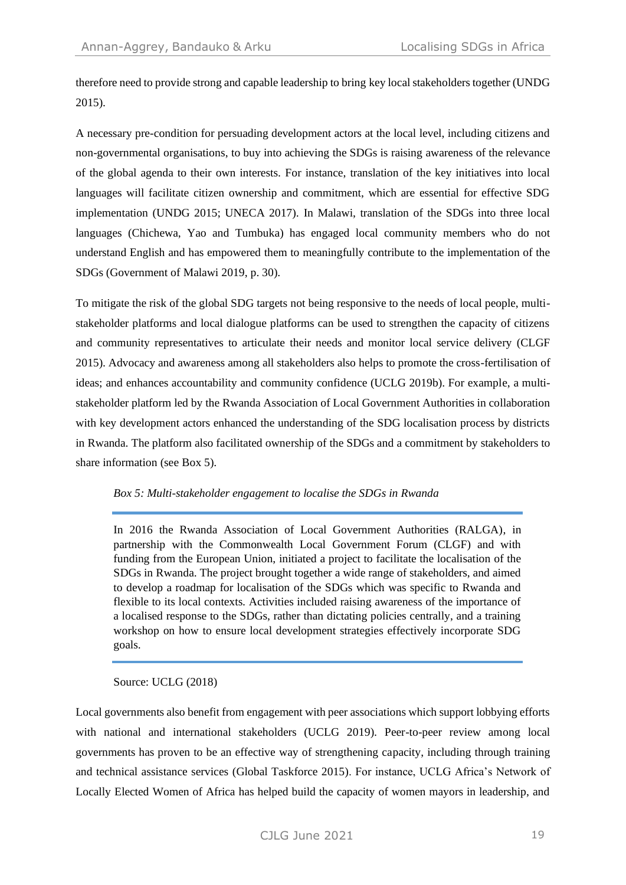therefore need to provide strong and capable leadership to bring key local stakeholders together (UNDG 2015).

A necessary pre-condition for persuading development actors at the local level, including citizens and non-governmental organisations, to buy into achieving the SDGs is raising awareness of the relevance of the global agenda to their own interests. For instance, translation of the key initiatives into local languages will facilitate citizen ownership and commitment, which are essential for effective SDG implementation (UNDG 2015; UNECA 2017). In Malawi, translation of the SDGs into three local languages (Chichewa, Yao and Tumbuka) has engaged local community members who do not understand English and has empowered them to meaningfully contribute to the implementation of the SDGs (Government of Malawi 2019, p. 30).

To mitigate the risk of the global SDG targets not being responsive to the needs of local people, multistakeholder platforms and local dialogue platforms can be used to strengthen the capacity of citizens and community representatives to articulate their needs and monitor local service delivery (CLGF 2015). Advocacy and awareness among all stakeholders also helps to promote the cross-fertilisation of ideas; and enhances accountability and community confidence (UCLG 2019b). For example, a multistakeholder platform led by the Rwanda Association of Local Government Authorities in collaboration with key development actors enhanced the understanding of the SDG localisation process by districts in Rwanda. The platform also facilitated ownership of the SDGs and a commitment by stakeholders to share information (see Box 5).

#### *Box 5: Multi-stakeholder engagement to localise the SDGs in Rwanda*

In 2016 the Rwanda Association of Local Government Authorities (RALGA), in partnership with the Commonwealth Local Government Forum (CLGF) and with funding from the European Union, initiated a project to facilitate the localisation of the SDGs in Rwanda. The project brought together a wide range of stakeholders, and aimed to develop a roadmap for localisation of the SDGs which was specific to Rwanda and flexible to its local contexts. Activities included raising awareness of the importance of a localised response to the SDGs, rather than dictating policies centrally, and a training workshop on how to ensure local development strategies effectively incorporate SDG goals.

Source: UCLG (2018)

Local governments also benefit from engagement with peer associations which support lobbying efforts with national and international stakeholders (UCLG 2019). Peer-to-peer review among local governments has proven to be an effective way of strengthening capacity, including through training and technical assistance services (Global Taskforce 2015). For instance, UCLG Africa's Network of Locally Elected Women of Africa has helped build the capacity of women mayors in leadership, and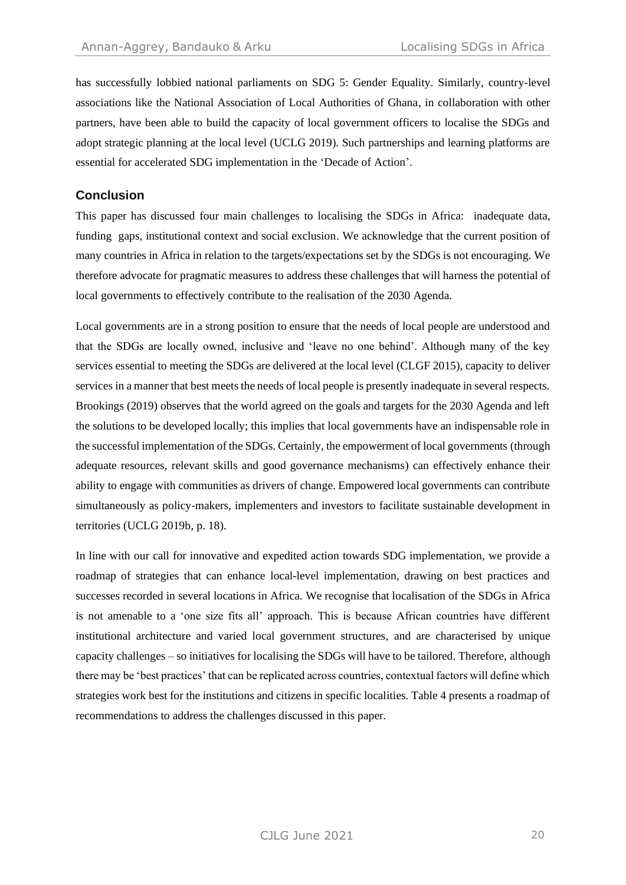has successfully lobbied national parliaments on SDG 5: Gender Equality. Similarly, country-level associations like the National Association of Local Authorities of Ghana, in collaboration with other partners, have been able to build the capacity of local government officers to localise the SDGs and adopt strategic planning at the local level (UCLG 2019). Such partnerships and learning platforms are essential for accelerated SDG implementation in the 'Decade of Action'.

## **Conclusion**

This paper has discussed four main challenges to localising the SDGs in Africa: inadequate data, funding gaps, institutional context and social exclusion. We acknowledge that the current position of many countries in Africa in relation to the targets/expectations set by the SDGs is not encouraging. We therefore advocate for pragmatic measures to address these challenges that will harness the potential of local governments to effectively contribute to the realisation of the 2030 Agenda.

Local governments are in a strong position to ensure that the needs of local people are understood and that the SDGs are locally owned, inclusive and 'leave no one behind'. Although many of the key services essential to meeting the SDGs are delivered at the local level (CLGF 2015), capacity to deliver services in a manner that best meets the needs of local people is presently inadequate in several respects. Brookings (2019) observes that the world agreed on the goals and targets for the 2030 Agenda and left the solutions to be developed locally; this implies that local governments have an indispensable role in the successful implementation of the SDGs. Certainly, the empowerment of local governments (through adequate resources, relevant skills and good governance mechanisms) can effectively enhance their ability to engage with communities as drivers of change. Empowered local governments can contribute simultaneously as policy-makers, implementers and investors to facilitate sustainable development in territories (UCLG 2019b, p. 18).

In line with our call for innovative and expedited action towards SDG implementation, we provide a roadmap of strategies that can enhance local-level implementation, drawing on best practices and successes recorded in several locations in Africa. We recognise that localisation of the SDGs in Africa is not amenable to a 'one size fits all' approach. This is because African countries have different institutional architecture and varied local government structures, and are characterised by unique capacity challenges – so initiatives for localising the SDGs will have to be tailored. Therefore, although there may be 'best practices' that can be replicated across countries, contextual factors will define which strategies work best for the institutions and citizens in specific localities. Table 4 presents a roadmap of recommendations to address the challenges discussed in this paper.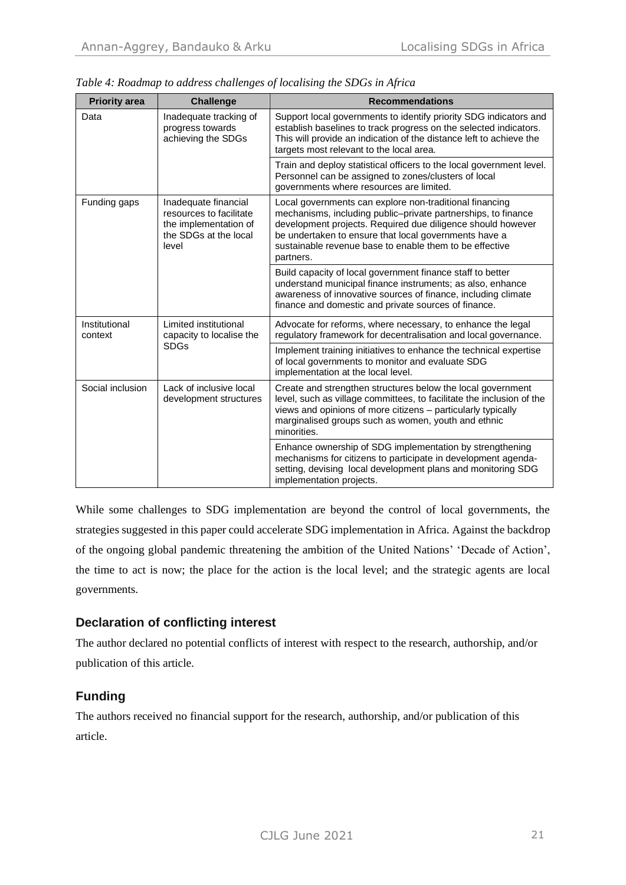| <b>Priority area</b>     | <b>Challenge</b>                                                                                  | <b>Recommendations</b>                                                                                                                                                                                                                                                                                                   |
|--------------------------|---------------------------------------------------------------------------------------------------|--------------------------------------------------------------------------------------------------------------------------------------------------------------------------------------------------------------------------------------------------------------------------------------------------------------------------|
| Data                     | Inadequate tracking of<br>progress towards<br>achieving the SDGs                                  | Support local governments to identify priority SDG indicators and<br>establish baselines to track progress on the selected indicators.<br>This will provide an indication of the distance left to achieve the<br>targets most relevant to the local area.                                                                |
|                          |                                                                                                   | Train and deploy statistical officers to the local government level.<br>Personnel can be assigned to zones/clusters of local<br>governments where resources are limited.                                                                                                                                                 |
| Funding gaps<br>level    | Inadequate financial<br>resources to facilitate<br>the implementation of<br>the SDGs at the local | Local governments can explore non-traditional financing<br>mechanisms, including public-private partnerships, to finance<br>development projects. Required due diligence should however<br>be undertaken to ensure that local governments have a<br>sustainable revenue base to enable them to be effective<br>partners. |
|                          |                                                                                                   | Build capacity of local government finance staff to better<br>understand municipal finance instruments; as also, enhance<br>awareness of innovative sources of finance, including climate<br>finance and domestic and private sources of finance.                                                                        |
| Institutional<br>context | Limited institutional<br>capacity to localise the<br><b>SDGs</b>                                  | Advocate for reforms, where necessary, to enhance the legal<br>regulatory framework for decentralisation and local governance.                                                                                                                                                                                           |
|                          |                                                                                                   | Implement training initiatives to enhance the technical expertise<br>of local governments to monitor and evaluate SDG<br>implementation at the local level.                                                                                                                                                              |
| Social inclusion         | Lack of inclusive local<br>development structures                                                 | Create and strengthen structures below the local government<br>level, such as village committees, to facilitate the inclusion of the<br>views and opinions of more citizens - particularly typically<br>marginalised groups such as women, youth and ethnic<br>minorities.                                               |
|                          |                                                                                                   | Enhance ownership of SDG implementation by strengthening<br>mechanisms for citizens to participate in development agenda-<br>setting, devising local development plans and monitoring SDG<br>implementation projects.                                                                                                    |

*Table 4: Roadmap to address challenges of localising the SDGs in Africa* 

While some challenges to SDG implementation are beyond the control of local governments, the strategies suggested in this paper could accelerate SDG implementation in Africa. Against the backdrop of the ongoing global pandemic threatening the ambition of the United Nations' 'Decade of Action', the time to act is now; the place for the action is the local level; and the strategic agents are local governments.

## **Declaration of conflicting interest**

The author declared no potential conflicts of interest with respect to the research, authorship, and/or publication of this article.

# **Funding**

The authors received no financial support for the research, authorship, and/or publication of this article.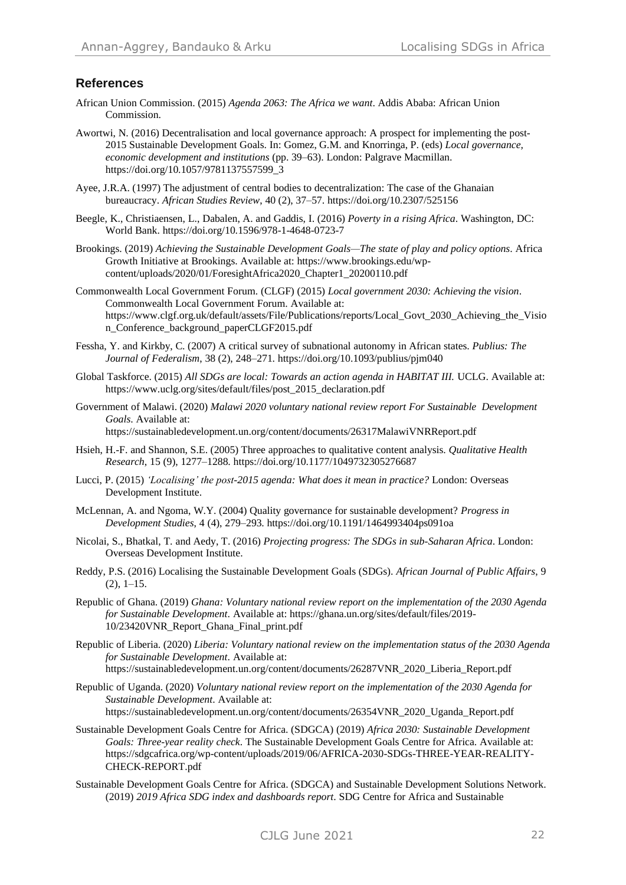## **References**

- African Union Commission. (2015) *Agenda 2063: The Africa we want*. Addis Ababa: African Union Commission.
- Awortwi, N. (2016) Decentralisation and local governance approach: A prospect for implementing the post-2015 Sustainable Development Goals. In: Gomez, G.M. and Knorringa, P. (eds) *Local governance, economic development and institutions* (pp. 39–63). London: Palgrave Macmillan. https://doi.org/10.1057/9781137557599\_3
- Ayee, J.R.A. (1997) The adjustment of central bodies to decentralization: The case of the Ghanaian bureaucracy. *African Studies Review*, 40 (2), 37–57. https://doi.org/10.2307/525156
- Beegle, K., Christiaensen, L., Dabalen, A. and Gaddis, I. (2016) *Poverty in a rising Africa*. Washington, DC: World Bank. https://doi.org/10.1596/978-1-4648-0723-7
- Brookings. (2019) *Achieving the Sustainable Development Goals—The state of play and policy options*. Africa Growth Initiative at Brookings. Available at: https://www.brookings.edu/wpcontent/uploads/2020/01/ForesightAfrica2020\_Chapter1\_20200110.pdf
- Commonwealth Local Government Forum. (CLGF) (2015) *Local government 2030: Achieving the vision*. Commonwealth Local Government Forum. Available at: https://www.clgf.org.uk/default/assets/File/Publications/reports/Local\_Govt\_2030\_Achieving\_the\_Visio n Conference background paperCLGF2015.pdf
- Fessha, Y. and Kirkby, C. (2007) A critical survey of subnational autonomy in African states. *Publius: The Journal of Federalism*, 38 (2), 248–271. https://doi.org/10.1093/publius/pjm040
- Global Taskforce. (2015) *All SDGs are local: Towards an action agenda in HABITAT III.* UCLG. Available at: https://www.uclg.org/sites/default/files/post\_2015\_declaration.pdf
- Government of Malawi. (2020) *Malawi 2020 voluntary national review report For Sustainable Development Goals*. Available at: https://sustainabledevelopment.un.org/content/documents/26317MalawiVNRReport.pdf
- Hsieh, H.-F. and Shannon, S.E. (2005) Three approaches to qualitative content analysis. *Qualitative Health Research*, 15 (9), 1277–1288. https://doi.org/10.1177/1049732305276687
- Lucci, P. (2015) *'Localising' the post-2015 agenda: What does it mean in practice?* London: Overseas Development Institute.
- McLennan, A. and Ngoma, W.Y. (2004) Quality governance for sustainable development? *Progress in Development Studies*, 4 (4), 279–293. https://doi.org/10.1191/1464993404ps091oa
- Nicolai, S., Bhatkal, T. and Aedy, T. (2016) *Projecting progress: The SDGs in sub-Saharan Africa*. London: Overseas Development Institute.
- Reddy, P.S. (2016) Localising the Sustainable Development Goals (SDGs). *African Journal of Public Affairs*, 9  $(2), 1-15.$
- Republic of Ghana. (2019) *Ghana: Voluntary national review report on the implementation of the 2030 Agenda for Sustainable Development*. Available at: https://ghana.un.org/sites/default/files/2019- 10/23420VNR\_Report\_Ghana\_Final\_print.pdf
- Republic of Liberia. (2020) *Liberia: Voluntary national review on the implementation status of the 2030 Agenda for Sustainable Development*. Available at: https://sustainabledevelopment.un.org/content/documents/26287VNR\_2020\_Liberia\_Report.pdf
- Republic of Uganda. (2020) *Voluntary national review report on the implementation of the 2030 Agenda for Sustainable Development*. Available at: https://sustainabledevelopment.un.org/content/documents/26354VNR\_2020\_Uganda\_Report.pdf
- Sustainable Development Goals Centre for Africa. (SDGCA) (2019) *Africa 2030: Sustainable Development Goals: Three-year reality check*. The Sustainable Development Goals Centre for Africa. Available at: https://sdgcafrica.org/wp-content/uploads/2019/06/AFRICA-2030-SDGs-THREE-YEAR-REALITY-CHECK-REPORT.pdf
- Sustainable Development Goals Centre for Africa. (SDGCA) and Sustainable Development Solutions Network. (2019) *2019 Africa SDG index and dashboards report*. SDG Centre for Africa and Sustainable